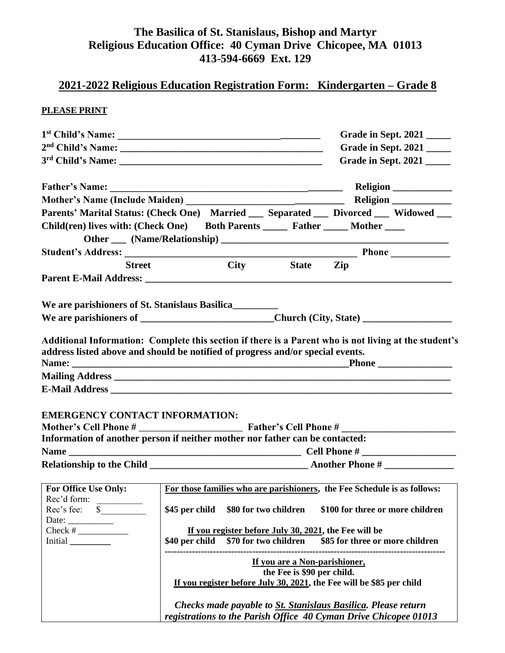## **The Basilica of St. Stanislaus, Bishop and Martyr Religious Education Office: 40 Cyman Drive Chicopee, MA 01013 413-594-6669 Ext. 129**

# **2021-2022 Religious Education Registration Form: Kindergarten – Grade 8**

#### **PLEASE PRINT**

|                                                                                                                                                                                         |                                                                                                                                                                                                                                                                                                                           |  | Grade in Sept. 2021 |                                                                                                                                   |                     |
|-----------------------------------------------------------------------------------------------------------------------------------------------------------------------------------------|---------------------------------------------------------------------------------------------------------------------------------------------------------------------------------------------------------------------------------------------------------------------------------------------------------------------------|--|---------------------|-----------------------------------------------------------------------------------------------------------------------------------|---------------------|
|                                                                                                                                                                                         |                                                                                                                                                                                                                                                                                                                           |  | Grade in Sept. 2021 |                                                                                                                                   |                     |
|                                                                                                                                                                                         |                                                                                                                                                                                                                                                                                                                           |  |                     |                                                                                                                                   | Grade in Sept. 2021 |
|                                                                                                                                                                                         |                                                                                                                                                                                                                                                                                                                           |  |                     |                                                                                                                                   |                     |
|                                                                                                                                                                                         |                                                                                                                                                                                                                                                                                                                           |  |                     |                                                                                                                                   |                     |
| Parents' Marital Status: (Check One) Married __ Separated __ Divorced __ Widowed __                                                                                                     |                                                                                                                                                                                                                                                                                                                           |  |                     |                                                                                                                                   |                     |
| Child(ren) lives with: (Check One) Both Parents ______ Father _____ Mother _____                                                                                                        |                                                                                                                                                                                                                                                                                                                           |  |                     |                                                                                                                                   |                     |
|                                                                                                                                                                                         |                                                                                                                                                                                                                                                                                                                           |  |                     |                                                                                                                                   |                     |
|                                                                                                                                                                                         |                                                                                                                                                                                                                                                                                                                           |  |                     |                                                                                                                                   |                     |
| <b>Street</b>                                                                                                                                                                           |                                                                                                                                                                                                                                                                                                                           |  | City State Zip      |                                                                                                                                   |                     |
|                                                                                                                                                                                         |                                                                                                                                                                                                                                                                                                                           |  |                     |                                                                                                                                   |                     |
| We are parishioners of St. Stanislaus Basilica                                                                                                                                          |                                                                                                                                                                                                                                                                                                                           |  |                     |                                                                                                                                   |                     |
|                                                                                                                                                                                         |                                                                                                                                                                                                                                                                                                                           |  |                     |                                                                                                                                   |                     |
| Additional Information: Complete this section if there is a Parent who is not living at the student's<br>address listed above and should be notified of progress and/or special events. |                                                                                                                                                                                                                                                                                                                           |  |                     |                                                                                                                                   |                     |
| <b>EMERGENCY CONTACT INFORMATION:</b><br>Information of another person if neither mother nor father can be contacted:                                                                   |                                                                                                                                                                                                                                                                                                                           |  |                     |                                                                                                                                   |                     |
|                                                                                                                                                                                         |                                                                                                                                                                                                                                                                                                                           |  |                     |                                                                                                                                   |                     |
|                                                                                                                                                                                         |                                                                                                                                                                                                                                                                                                                           |  |                     |                                                                                                                                   |                     |
| For Office Use Only:<br>Rec'd form:<br>$Rec's fee:$ $\frac{\sqrt{2}}{2}$<br>Initial                                                                                                     | For those families who are parishioners, the Fee Schedule is as follows:<br>\$45 per child \$80 for two children<br>\$100 for three or more children<br>If you register before July 30, 2021, the Fee will be<br>\$70 for two children \$85 for three or more children<br>\$40 per child<br>If you are a Non-parishioner, |  |                     |                                                                                                                                   |                     |
|                                                                                                                                                                                         | the Fee is \$90 per child.                                                                                                                                                                                                                                                                                                |  |                     |                                                                                                                                   |                     |
| If you register before July 30, 2021, the Fee will be \$85 per child                                                                                                                    |                                                                                                                                                                                                                                                                                                                           |  |                     |                                                                                                                                   |                     |
|                                                                                                                                                                                         |                                                                                                                                                                                                                                                                                                                           |  |                     | Checks made payable to St. Stanislaus Basilica. Please return<br>registrations to the Parish Office 40 Cyman Drive Chicopee 01013 |                     |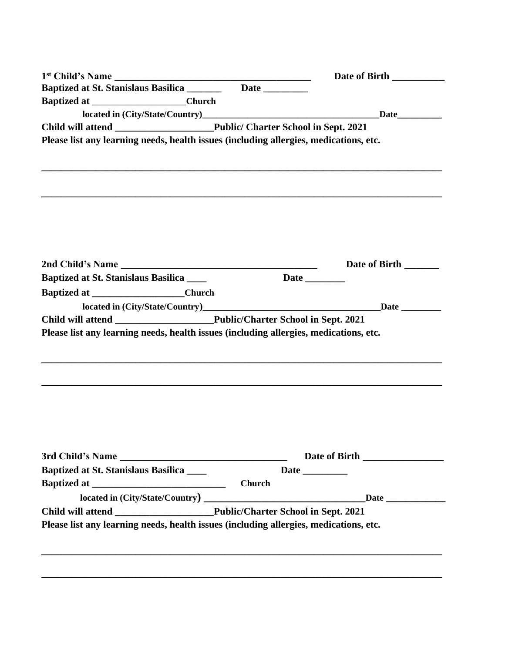|                                                                                       | Date of Birth  |
|---------------------------------------------------------------------------------------|----------------|
|                                                                                       |                |
| Baptized at ______________________Church                                              |                |
|                                                                                       |                |
|                                                                                       |                |
| Please list any learning needs, health issues (including allergies, medications, etc. |                |
|                                                                                       | Date of Birth  |
| <b>Baptized at St. Stanislaus Basilica</b> _____                                      |                |
| Baptized at _____________________Church                                               |                |
|                                                                                       |                |
|                                                                                       |                |
| Please list any learning needs, health issues (including allergies, medications, etc. |                |
| <b>Baptized at St. Stanislaus Basilica</b>                                            | Date _________ |
|                                                                                       |                |
|                                                                                       |                |
|                                                                                       |                |
|                                                                                       |                |

**\_\_\_\_\_\_\_\_\_\_\_\_\_\_\_\_\_\_\_\_\_\_\_\_\_\_\_\_\_\_\_\_\_\_\_\_\_\_\_\_\_\_\_\_\_\_\_\_\_\_\_\_\_\_\_\_\_\_\_\_\_\_\_\_\_\_\_\_\_\_\_\_\_\_\_\_\_\_\_\_\_**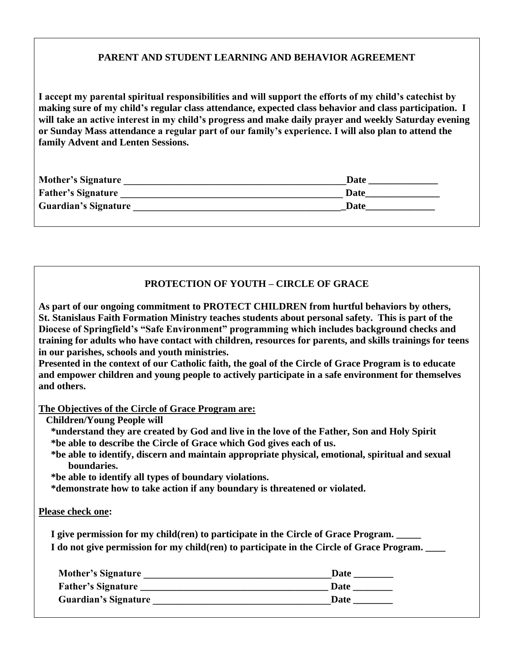### **PARENT AND STUDENT LEARNING AND BEHAVIOR AGREEMENT**

**I accept my parental spiritual responsibilities and will support the efforts of my child's catechist by making sure of my child's regular class attendance, expected class behavior and class participation. I will take an active interest in my child's progress and make daily prayer and weekly Saturday evening or Sunday Mass attendance a regular part of our family's experience. I will also plan to attend the family Advent and Lenten Sessions.**

| <b>Mother's Signature</b>   | Date |
|-----------------------------|------|
| <b>Father's Signature</b>   | Date |
| <b>Guardian's Signature</b> | Date |
|                             |      |

### **PROTECTION OF YOUTH – CIRCLE OF GRACE**

**As part of our ongoing commitment to PROTECT CHILDREN from hurtful behaviors by others, St. Stanislaus Faith Formation Ministry teaches students about personal safety. This is part of the Diocese of Springfield's "Safe Environment" programming which includes background checks and training for adults who have contact with children, resources for parents, and skills trainings for teens in our parishes, schools and youth ministries.**

**Presented in the context of our Catholic faith, the goal of the Circle of Grace Program is to educate and empower children and young people to actively participate in a safe environment for themselves and others.**

**The Objectives of the Circle of Grace Program are:**

 **Children/Young People will** 

 **\*understand they are created by God and live in the love of the Father, Son and Holy Spirit \*be able to describe the Circle of Grace which God gives each of us.**

 **\*be able to identify, discern and maintain appropriate physical, emotional, spiritual and sexual boundaries.**

 **\*be able to identify all types of boundary violations.**

 **\*demonstrate how to take action if any boundary is threatened or violated.**

#### **Please check one:**

 **I give permission for my child(ren) to participate in the Circle of Grace Program. \_\_\_\_\_ I do not give permission for my child(ren) to participate in the Circle of Grace Program. \_\_\_\_**

| <b>Mother's Signature</b>   | Date |
|-----------------------------|------|
| <b>Father's Signature</b>   | Date |
| <b>Guardian's Signature</b> | Date |